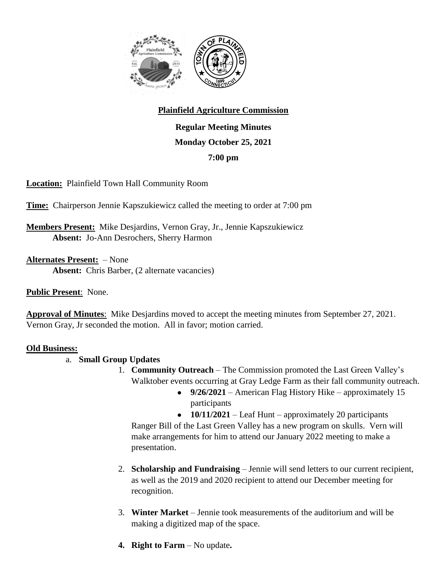

# **Plainfield Agriculture Commission**

**Regular Meeting Minutes Monday October 25, 2021 7:00 pm**

**Location:** Plainfield Town Hall Community Room

**Time:** Chairperson Jennie Kapszukiewicz called the meeting to order at 7:00 pm

**Members Present:** Mike Desjardins, Vernon Gray, Jr., Jennie Kapszukiewicz **Absent:** Jo-Ann Desrochers, Sherry Harmon

**Alternates Present:** – None **Absent:** Chris Barber, (2 alternate vacancies)

**Public Present**: None.

**Approval of Minutes**: Mike Desjardins moved to accept the meeting minutes from September 27, 2021. Vernon Gray, Jr seconded the motion. All in favor; motion carried.

# **Old Business:**

- a. **Small Group Updates**
	- 1. **Community Outreach** The Commission promoted the Last Green Valley's Walktober events occurring at Gray Ledge Farm as their fall community outreach.
		- 9/26/2021 American Flag History Hike approximately 15 participants

• **10/11/2021** – Leaf Hunt – approximately 20 participants Ranger Bill of the Last Green Valley has a new program on skulls. Vern will make arrangements for him to attend our January 2022 meeting to make a presentation.

- 2. **Scholarship and Fundraising** Jennie will send letters to our current recipient, as well as the 2019 and 2020 recipient to attend our December meeting for recognition.
- 3. **Winter Market** Jennie took measurements of the auditorium and will be making a digitized map of the space.
- **4. Right to Farm** No update**.**